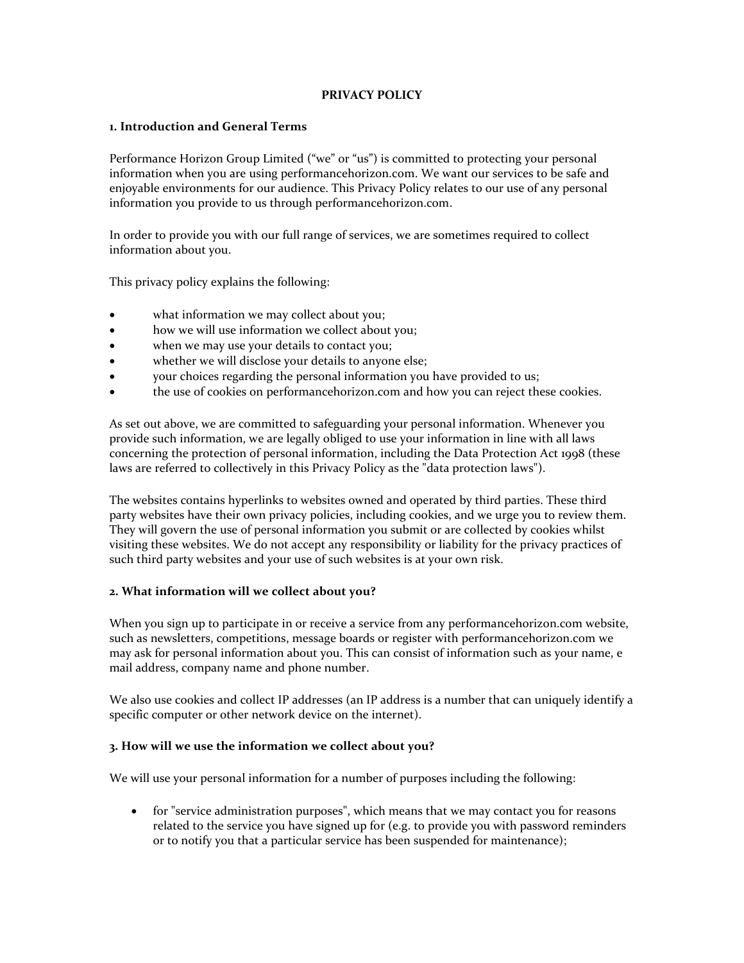# **PRIVACY POLICY**

## **1. Introduction and General Terms**

Performance Horizon Group Limited ("we" or "us") is committed to protecting your personal information when you are using performancehorizon.com. We want our services to be safe and enjoyable environments for our audience. This Privacy Policy relates to our use of any personal information you provide to us through performancehorizon.com.

In order to provide you with our full range of services, we are sometimes required to collect information about you.

This privacy policy explains the following:

- what information we may collect about you;
- how we will use information we collect about you;
- when we may use your details to contact you;
- whether we will disclose your details to anyone else;
- your choices regarding the personal information you have provided to us;
- the use of cookies on performancehorizon.com and how you can reject these cookies.

As set out above, we are committed to safeguarding your personal information. Whenever you provide such information, we are legally obliged to use your information in line with all laws concerning the protection of personal information, including the Data Protection Act 1998 (these laws are referred to collectively in this Privacy Policy as the "data protection laws").

The websites contains hyperlinks to websites owned and operated by third parties. These third party websites have their own privacy policies, including cookies, and we urge you to review them. They will govern the use of personal information you submit or are collected by cookies whilst visiting these websites. We do not accept any responsibility or liability for the privacy practices of such third party websites and your use of such websites is at your own risk.

#### **2. What information will we collect about you?**

When you sign up to participate in or receive a service from any performancehorizon.com website, such as newsletters, competitions, message boards or register with performancehorizon.com we may ask for personal information about you. This can consist of information such as your name, e mail address, company name and phone number.

We also use cookies and collect IP addresses (an IP address is a number that can uniquely identify a specific computer or other network device on the internet).

#### **3. How will we use the information we collect about you?**

We will use your personal information for a number of purposes including the following:

• for "service administration purposes", which means that we may contact you for reasons related to the service you have signed up for (e.g. to provide you with password reminders or to notify you that a particular service has been suspended for maintenance);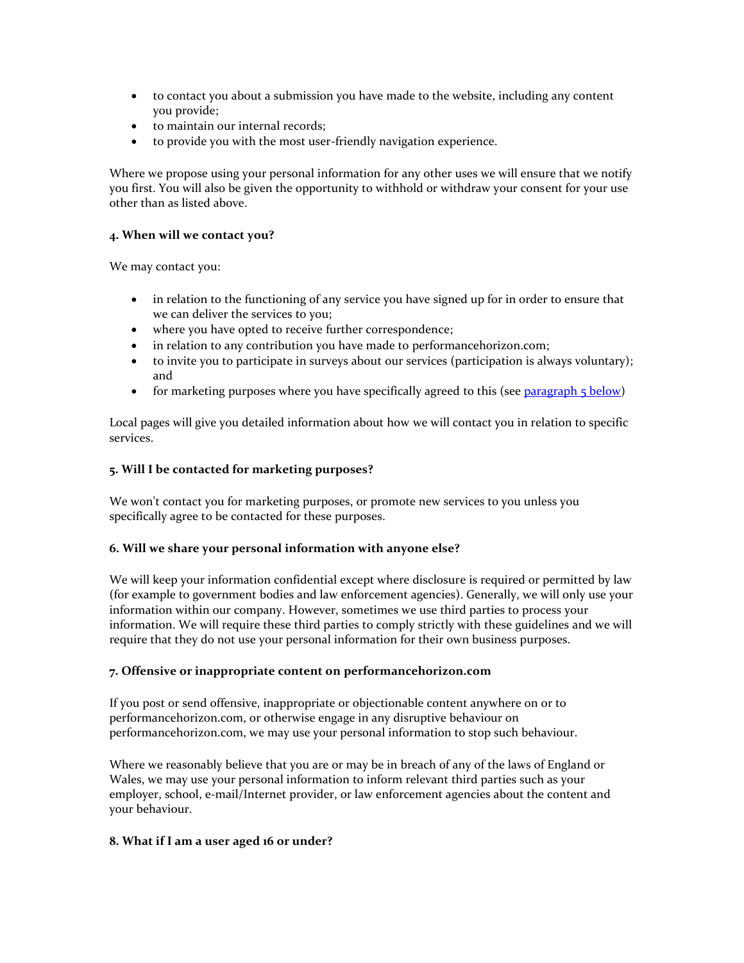- to contact you about a submission you have made to the website, including any content you provide;
- to maintain our internal records;
- to provide you with the most user-friendly navigation experience.

Where we propose using your personal information for any other uses we will ensure that we notify you first. You will also be given the opportunity to withhold or withdraw your consent for your use other than as listed above.

## **4. When will we contact you?**

We may contact you:

- in relation to the functioning of any service you have signed up for in order to ensure that we can deliver the services to you;
- where you have opted to receive further correspondence;
- in relation to any contribution you have made to performancehorizon.com;
- to invite you to participate in surveys about our services (participation is always voluntary); and
- for marketing purposes where you have specifically agreed to this (see [paragraph 5 below\)](http://www.bbc.co.uk/privacy/#5)

Local pages will give you detailed information about how we will contact you in relation to specific services.

#### **5. Will I be contacted for marketing purposes?**

We won't contact you for marketing purposes, or promote new services to you unless you specifically agree to be contacted for these purposes.

#### **6. Will we share your personal information with anyone else?**

We will keep your information confidential except where disclosure is required or permitted by law (for example to government bodies and law enforcement agencies). Generally, we will only use your information within our company. However, sometimes we use third parties to process your information. We will require these third parties to comply strictly with these guidelines and we will require that they do not use your personal information for their own business purposes.

#### **7. Offensive or inappropriate content on performancehorizon.com**

If you post or send offensive, inappropriate or objectionable content anywhere on or to performancehorizon.com, or otherwise engage in any disruptive behaviour on performancehorizon.com, we may use your personal information to stop such behaviour.

Where we reasonably believe that you are or may be in breach of any of the laws of England or Wales, we may use your personal information to inform relevant third parties such as your employer, school, e-mail/Internet provider, or law enforcement agencies about the content and your behaviour.

#### **8. What if I am a user aged 16 or under?**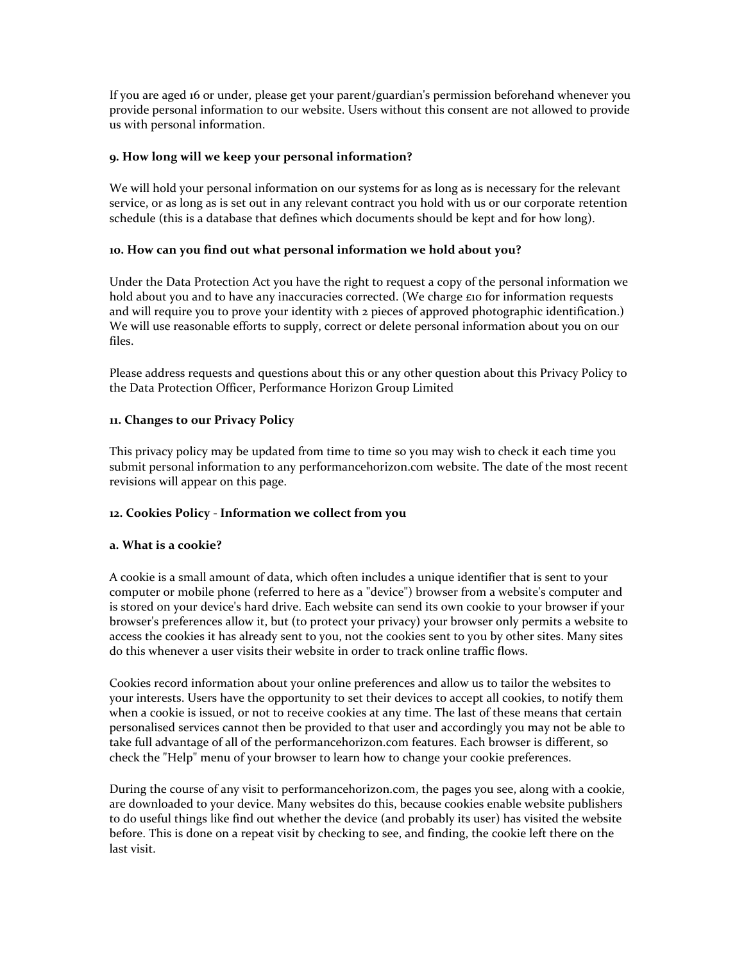If you are aged 16 or under, please get your parent/guardian's permission beforehand whenever you provide personal information to our website. Users without this consent are not allowed to provide us with personal information.

# **9. How long will we keep your personal information?**

We will hold your personal information on our systems for as long as is necessary for the relevant service, or as long as is set out in any relevant contract you hold with us or our corporate retention schedule (this is a database that defines which documents should be kept and for how long).

# **10. How can you find out what personal information we hold about you?**

Under the Data Protection Act you have the right to request a copy of the personal information we hold about you and to have any inaccuracies corrected. (We charge £10 for information requests and will require you to prove your identity with 2 pieces of approved photographic identification.) We will use reasonable efforts to supply, correct or delete personal information about you on our files.

Please address requests and questions about this or any other question about this Privacy Policy to the Data Protection Officer, Performance Horizon Group Limited

# **11. Changes to our Privacy Policy**

This privacy policy may be updated from time to time so you may wish to check it each time you submit personal information to any performancehorizon.com website. The date of the most recent revisions will appear on this page.

#### **12. Cookies Policy - Information we collect from you**

#### **a. What is a cookie?**

A cookie is a small amount of data, which often includes a unique identifier that is sent to your computer or mobile phone (referred to here as a "device") browser from a website's computer and is stored on your device's hard drive. Each website can send its own cookie to your browser if your browser's preferences allow it, but (to protect your privacy) your browser only permits a website to access the cookies it has already sent to you, not the cookies sent to you by other sites. Many sites do this whenever a user visits their website in order to track online traffic flows.

Cookies record information about your online preferences and allow us to tailor the websites to your interests. Users have the opportunity to set their devices to accept all cookies, to notify them when a cookie is issued, or not to receive cookies at any time. The last of these means that certain personalised services cannot then be provided to that user and accordingly you may not be able to take full advantage of all of the performancehorizon.com features. Each browser is different, so check the "Help" menu of your browser to learn how to change your cookie preferences.

During the course of any visit to performancehorizon.com, the pages you see, along with a cookie, are downloaded to your device. Many websites do this, because cookies enable website publishers to do useful things like find out whether the device (and probably its user) has visited the website before. This is done on a repeat visit by checking to see, and finding, the cookie left there on the last visit.